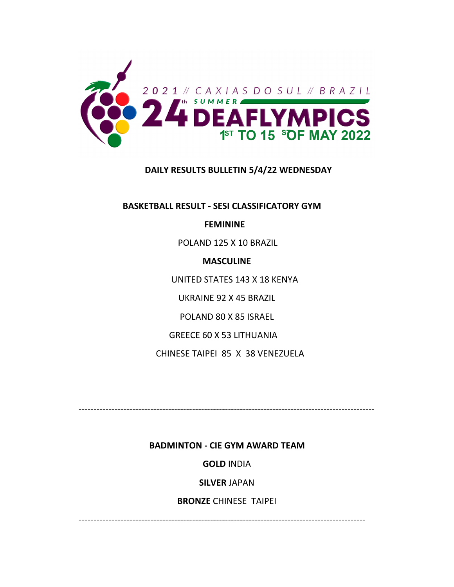

# **DAILY RESULTS BULLETIN 5/4/22 WEDNESDAY**

 **BASKETBALL RESULT ‐ SESI CLASSIFICATORY GYM**

 **FEMININE**

POLAND 125 X 10 BRAZIL

**MASCULINE**

UNITED STATES 143 X 18 KENYA

UKRAINE 92 X 45 BRAZIL

POLAND 80 X 85 ISRAEL

GREECE 60 X 53 LITHUANIA

CHINESE TAIPEI 85 X 38 VENEZUELA

‐‐‐‐‐‐‐‐‐‐‐‐‐‐‐‐‐‐‐‐‐‐‐‐‐‐‐‐‐‐‐‐‐‐‐‐‐‐‐‐‐‐‐‐‐‐‐‐‐‐‐‐‐‐‐‐‐‐‐‐‐‐‐‐‐‐‐‐‐‐‐‐‐‐‐‐‐‐‐‐‐‐‐‐‐‐‐‐‐‐‐‐‐‐‐‐‐‐‐

 **BADMINTON ‐ CIE GYM AWARD TEAM**

**GOLD** INDIA

**SILVER** JAPAN

**BRONZE** CHINESE TAIPEI

‐‐‐‐‐‐‐‐‐‐‐‐‐‐‐‐‐‐‐‐‐‐‐‐‐‐‐‐‐‐‐‐‐‐‐‐‐‐‐‐‐‐‐‐‐‐‐‐‐‐‐‐‐‐‐‐‐‐‐‐‐‐‐‐‐‐‐‐‐‐‐‐‐‐‐‐‐‐‐‐‐‐‐‐‐‐‐‐‐‐‐‐‐‐‐‐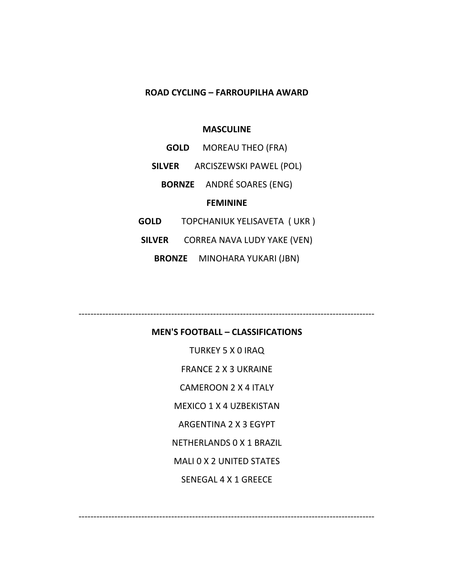# **ROAD CYCLING – FARROUPILHA AWARD**

#### **MASCULINE**

|                 | <b>GOLD</b>                 | <b>MOREAU THEO (FRA)</b>         |
|-----------------|-----------------------------|----------------------------------|
| <b>SILVER</b>   |                             | ARCISZEWSKI PAWEL (POL)          |
|                 |                             | <b>BORNZE</b> ANDRÉ SOARES (ENG) |
| <b>FEMININE</b> |                             |                                  |
| GOLD            | TOPCHANIUK YELISAVETA (UKR) |                                  |
| <b>SILVER</b>   |                             | CORREA NAVA LUDY YAKE (VEN)      |

**BRONZE** MINOHARA YUKARI (JBN)

**MEN'S FOOTBALL – CLASSIFICATIONS**

‐‐‐‐‐‐‐‐‐‐‐‐‐‐‐‐‐‐‐‐‐‐‐‐‐‐‐‐‐‐‐‐‐‐‐‐‐‐‐‐‐‐‐‐‐‐‐‐‐‐‐‐‐‐‐‐‐‐‐‐‐‐‐‐‐‐‐‐‐‐‐‐‐‐‐‐‐‐‐‐‐‐‐‐‐‐‐‐‐‐‐‐‐‐‐‐‐‐‐

‐‐‐‐‐‐‐‐‐‐‐‐‐‐‐‐‐‐‐‐‐‐‐‐‐‐‐‐‐‐‐‐‐‐‐‐‐‐‐‐‐‐‐‐‐‐‐‐‐‐‐‐‐‐‐‐‐‐‐‐‐‐‐‐‐‐‐‐‐‐‐‐‐‐‐‐‐‐‐‐‐‐‐‐‐‐‐‐‐‐‐‐‐‐‐‐‐‐‐

TURKEY 5 X 0 IRAQ FRANCE 2 X 3 UKRAINE CAMEROON 2 X 4 ITALY MEXICO 1 X 4 UZBEKISTAN ARGENTINA 2 X 3 EGYPT NETHERLANDS 0 X 1 BRAZIL MALI 0 X 2 UNITED STATES SENEGAL 4 X 1 GREECE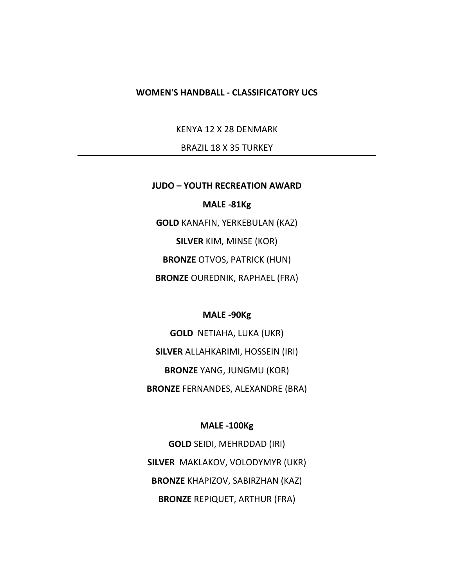#### **WOMEN'S HANDBALL ‐ CLASSIFICATORY UCS**

KENYA 12 X 28 DENMARK

BRAZIL 18 X 35 TURKEY

#### **JUDO – YOUTH RECREATION AWARD**

# **MALE ‐81Kg**

**GOLD** KANAFIN, YERKEBULAN (KAZ) **SILVER** KIM, MINSE (KOR) **BRONZE** OTVOS, PATRICK (HUN) **BRONZE** OUREDNIK, RAPHAEL (FRA)

#### **MALE ‐90Kg**

**GOLD** NETIAHA, LUKA (UKR) **SILVER** ALLAHKARIMI, HOSSEIN (IRI) **BRONZE** YANG, JUNGMU (KOR) **BRONZE** FERNANDES, ALEXANDRE (BRA)

#### **MALE ‐100Kg**

**GOLD** SEIDI, MEHRDDAD (IRI) **SILVER** MAKLAKOV, VOLODYMYR (UKR) **BRONZE** KHAPIZOV, SABIRZHAN (KAZ) **BRONZE** REPIQUET, ARTHUR (FRA)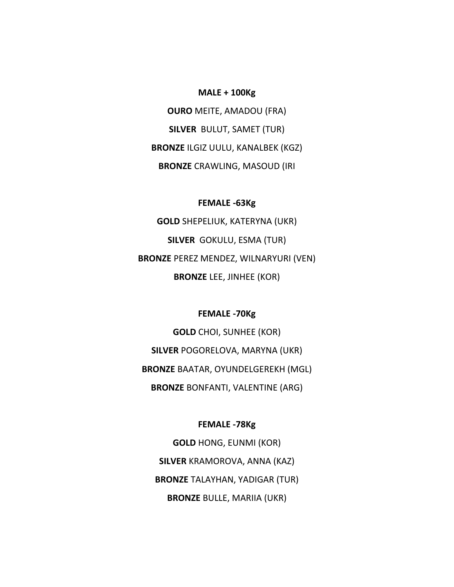#### **MALE + 100Kg**

**OURO** MEITE, AMADOU (FRA) **SILVER** BULUT, SAMET (TUR) **BRONZE** ILGIZ UULU, KANALBEK (KGZ) **BRONZE** CRAWLING, MASOUD (IRI

### **FEMALE ‐63Kg**

**GOLD** SHEPELIUK, KATERYNA (UKR) **SILVER** GOKULU, ESMA (TUR) **BRONZE** PEREZ MENDEZ, WILNARYURI (VEN) **BRONZE** LEE, JINHEE (KOR)

# **FEMALE ‐70Kg**

**GOLD** CHOI, SUNHEE (KOR) **SILVER** POGORELOVA, MARYNA (UKR) **BRONZE** BAATAR, OYUNDELGEREKH (MGL) **BRONZE** BONFANTI, VALENTINE (ARG)

#### **FEMALE ‐78Kg**

**GOLD** HONG, EUNMI (KOR) **SILVER** KRAMOROVA, ANNA (KAZ) **BRONZE** TALAYHAN, YADIGAR (TUR) **BRONZE** BULLE, MARIIA (UKR)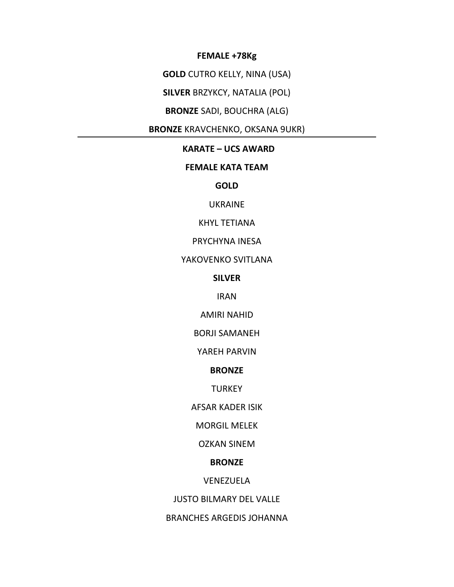#### FEMALE +78Kg

**GOLD** CUTRO KELLY, NINA (USA)

**SILVER BRZYKCY, NATALIA (POL)** 

# **BRONZE SADI, BOUCHRA (ALG)**

**BRONZE KRAVCHENKO, OKSANA 9UKR)** 

#### **KARATE - UCS AWARD**

# **FEMALE KATA TEAM**

**GOLD** 

# **UKRAINE**

**KHYL TETIANA** 

# PRYCHYNA INESA

# YAKOVENKO SVITLANA

### **SILVER**

### **IRAN**

#### **AMIRI NAHID**

### **BORJI SAMANEH**

# YAREH PARVIN

#### **BRONZE**

### **TURKEY**

#### **AFSAR KADER ISIK**

### **MORGIL MELEK**

#### **OZKAN SINEM**

#### **BRONZE**

#### VENEZUELA

### **JUSTO BILMARY DEL VALLE**

### **BRANCHES ARGEDIS JOHANNA**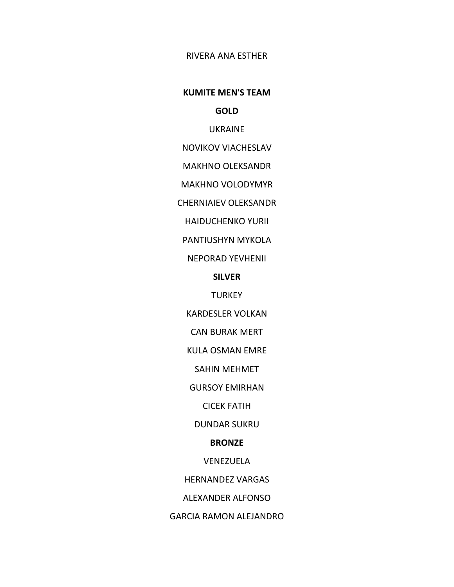# RIVERA ANA ESTHER

#### **KUMITE MEN'S TEAM**

**GOLD**

UKRAINE

NOVIKOV VIACHESLAV

MAKHNO OLEKSANDR

MAKHNO VOLODYMYR

CHERNIAIEV OLEKSANDR

HAIDUCHENKO YURII

PANTIUSHYN MYKOLA

NEPORAD YEVHENII

**SILVER**

**TURKEY** 

KARDESLER VOLKAN

CAN BURAK MERT

KULA OSMAN EMRE

SAHIN MEHMET

GURSOY EMIRHAN

CICEK FATIH

DUNDAR SUKRU

#### **BRONZE**

VENEZUELA

HERNANDEZ VARGAS

ALEXANDER ALFONSO

GARCIA RAMON ALEJANDRO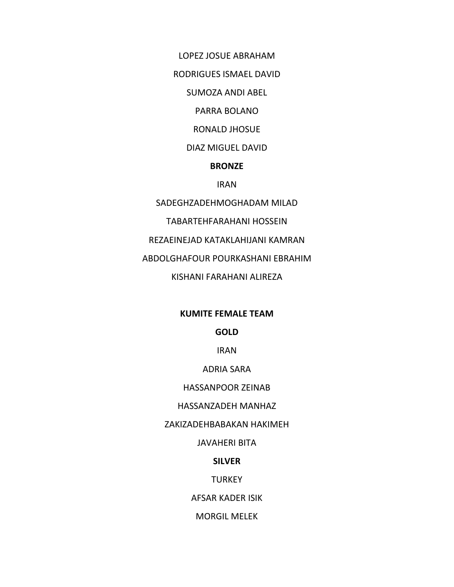LOPEZ JOSUE ABRAHAM

RODRIGUES ISMAEL DAVID

SUMOZA ANDI ABEL

PARRA BOLANO

RONALD JHOSUE

DIAZ MIGUEL DAVID

# **BRONZE**

IRAN

SADEGHZADEHMOGHADAM MILAD

TABARTEHFARAHANI HOSSEIN

REZAEINEJAD KATAKLAHIJANI KAMRAN

ABDOLGHAFOUR POURKASHANI EBRAHIM

KISHANI FARAHANI ALIREZA

# **KUMITE FEMALE TEAM**

**GOLD**

IRAN

ADRIA SARA

HASSANPOOR ZEINAB

HASSANZADEH MANHAZ

ZAKIZADEHBABAKAN HAKIMEH

JAVAHERI BITA

# **SILVER**

**TURKEY** 

AFSAR KADER ISIK

MORGIL MELEK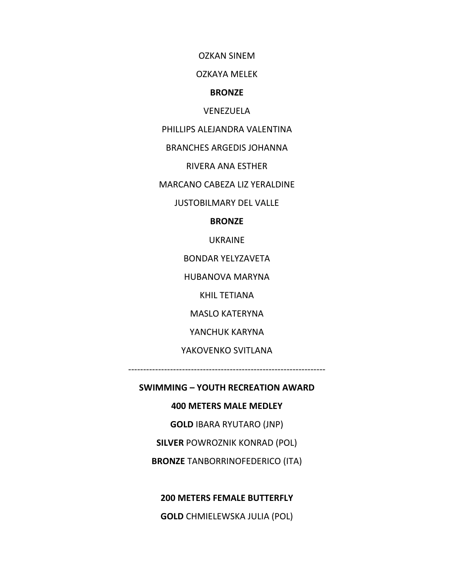OZKAN SINEM

OZKAYA MELEK

#### **BRONZE**

VENEZUELA

PHILLIPS ALEJANDRA VALENTINA

BRANCHES ARGEDIS JOHANNA

RIVERA ANA ESTHER

MARCANO CABEZA LIZ YERALDINE

JUSTOBILMARY DEL VALLE

**BRONZE**

UKRAINE

BONDAR YELYZAVETA

HUBANOVA MARYNA

KHIL TETIANA

MASLO KATERYNA

YANCHUK KARYNA

YAKOVENKO SVITLANA

‐‐‐‐‐‐‐‐‐‐‐‐‐‐‐‐‐‐‐‐‐‐‐‐‐‐‐‐‐‐‐‐‐‐‐‐‐‐‐‐‐‐‐‐‐‐‐‐‐‐‐‐‐‐‐‐‐‐‐‐‐‐‐‐‐‐

**SWIMMING – YOUTH RECREATION AWARD**

**400 METERS MALE MEDLEY**

**GOLD** IBARA RYUTARO (JNP)

**SILVER** POWROZNIK KONRAD (POL)

**BRONZE** TANBORRINOFEDERICO (ITA)

**200 METERS FEMALE BUTTERFLY**

**GOLD** CHMIELEWSKA JULIA (POL)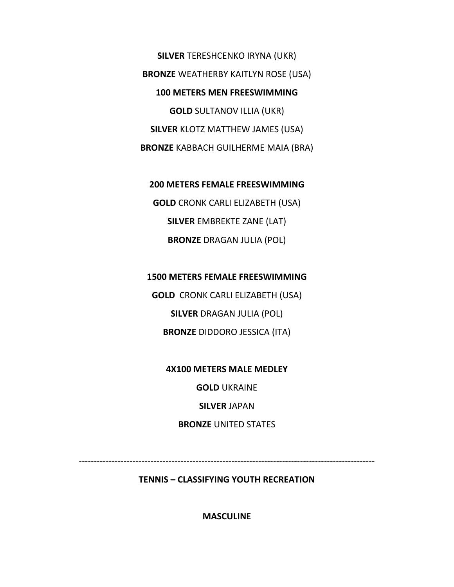**SILVER** TERESHCENKO IRYNA (UKR) **BRONZE** WEATHERBY KAITLYN ROSE (USA) **100 METERS MEN FREESWIMMING GOLD** SULTANOV ILLIA (UKR) **SILVER** KLOTZ MATTHEW JAMES (USA) **BRONZE** KABBACH GUILHERME MAIA (BRA)

**200 METERS FEMALE FREESWIMMING GOLD** CRONK CARLI ELIZABETH (USA) **SILVER** EMBREKTE ZANE (LAT) **BRONZE** DRAGAN JULIA (POL)

**1500 METERS FEMALE FREESWIMMING GOLD** CRONK CARLI ELIZABETH (USA) **SILVER** DRAGAN JULIA (POL)

**BRONZE** DIDDORO JESSICA (ITA)

**4X100 METERS MALE MEDLEY GOLD** UKRAINE **SILVER** JAPAN **BRONZE** UNITED STATES

‐‐‐‐‐‐‐‐‐‐‐‐‐‐‐‐‐‐‐‐‐‐‐‐‐‐‐‐‐‐‐‐‐‐‐‐‐‐‐‐‐‐‐‐‐‐‐‐‐‐‐‐‐‐‐‐‐‐‐‐‐‐‐‐‐‐‐‐‐‐‐‐‐‐‐‐‐‐‐‐‐‐‐‐‐‐‐‐‐‐‐‐‐‐‐‐‐‐‐

**TENNIS – CLASSIFYING YOUTH RECREATION**

**MASCULINE**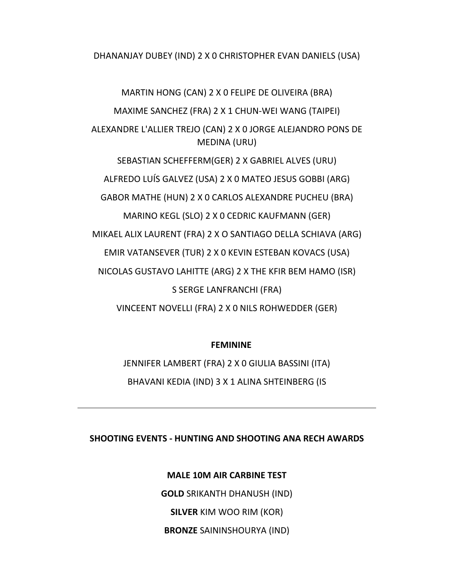DHANANJAY DUBEY (IND) 2 X 0 CHRISTOPHER EVAN DANIELS (USA)

MARTIN HONG (CAN) 2 X 0 FELIPE DE OLIVEIRA (BRA) MAXIME SANCHEZ (FRA) 2 X 1 CHUN‐WEI WANG (TAIPEI) ALEXANDRE L'ALLIER TREJO (CAN) 2 X 0 JORGE ALEJANDRO PONS DE MEDINA (URU) SEBASTIAN SCHEFFERM(GER) 2 X GABRIEL ALVES (URU) ALFREDO LUÍS GALVEZ (USA) 2 X 0 MATEO JESUS GOBBI (ARG) GABOR MATHE (HUN) 2 X 0 CARLOS ALEXANDRE PUCHEU (BRA) MARINO KEGL (SLO) 2 X 0 CEDRIC KAUFMANN (GER) MIKAEL ALIX LAURENT (FRA) 2 X O SANTIAGO DELLA SCHIAVA (ARG) EMIR VATANSEVER (TUR) 2 X 0 KEVIN ESTEBAN KOVACS (USA) NICOLAS GUSTAVO LAHITTE (ARG) 2 X THE KFIR BEM HAMO (ISR) S SERGE LANFRANCHI (FRA) VINCEENT NOVELLI (FRA) 2 X 0 NILS ROHWEDDER (GER)

# **FEMININE**

JENNIFER LAMBERT (FRA) 2 X 0 GIULIA BASSINI (ITA) BHAVANI KEDIA (IND) 3 X 1 ALINA SHTEINBERG (IS

# **SHOOTING EVENTS ‐ HUNTING AND SHOOTING ANA RECH AWARDS**

**MALE 10M AIR CARBINE TEST GOLD** SRIKANTH DHANUSH (IND) **SILVER** KIM WOO RIM (KOR) **BRONZE** SAININSHOURYA (IND)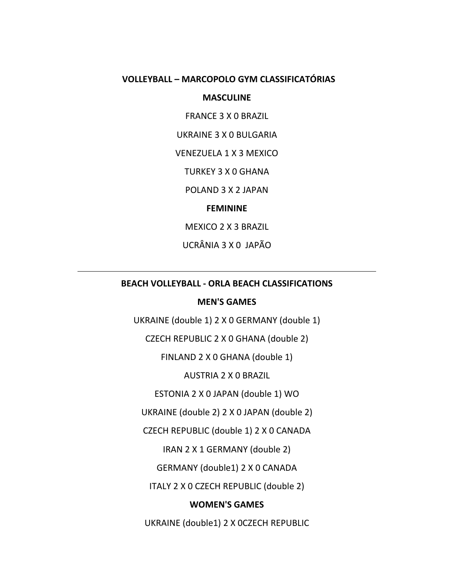# **VOLLEYBALL – MARCOPOLO GYM CLASSIFICATÓRIAS**

# **MASCULINE**

FRANCE 3 X 0 BRAZIL

UKRAINE 3 X 0 BULGARIA

VENEZUELA 1 X 3 MEXICO

TURKEY 3 X 0 GHANA

POLAND 3 X 2 JAPAN

**FEMININE**

MEXICO 2 X 3 BRAZIL

UCRÂNIA 3 X 0 JAPÃO

# **BEACH VOLLEYBALL ‐ ORLA BEACH CLASSIFICATIONS**

### **MEN'S GAMES**

UKRAINE (double 1) 2 X 0 GERMANY (double 1)

CZECH REPUBLIC 2 X 0 GHANA (double 2)

FINLAND 2 X 0 GHANA (double 1)

AUSTRIA 2 X 0 BRAZIL

ESTONIA 2 X 0 JAPAN (double 1) WO

UKRAINE (double 2) 2 X 0 JAPAN (double 2)

CZECH REPUBLIC (double 1) 2 X 0 CANADA

IRAN 2 X 1 GERMANY (double 2)

GERMANY (double1) 2 X 0 CANADA

ITALY 2 X 0 CZECH REPUBLIC (double 2)

# **WOMEN'S GAMES**

UKRAINE (double1) 2 X 0CZECH REPUBLIC